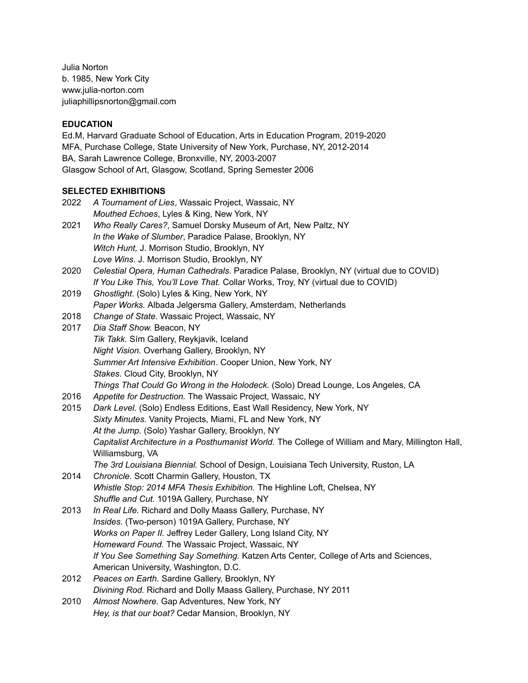Julia Norton b. 1985, New York City www.julia-norton.com juliaphillipsnorton@gmail.com

# **EDUCATION**

Ed.M, Harvard Graduate School of Education, Arts in Education Program, 2019-2020 MFA, Purchase College, State University of New York, Purchase, NY, 2012-2014 BA, Sarah Lawrence College, Bronxville, NY, 2003-2007 Glasgow School of Art, Glasgow, Scotland, Spring Semester 2006

# **SELECTED EXHIBITIONS**<br>2022 A Tournament of the

| 2022 | A Tournament of Lies, Wassaic Project, Wassaic, NY<br>Mouthed Echoes, Lyles & King, New York, NY        |
|------|---------------------------------------------------------------------------------------------------------|
| 2021 | Who Really Cares?, Samuel Dorsky Museum of Art, New Paltz, NY                                           |
|      | In the Wake of Slumber, Paradice Palase, Brooklyn, NY                                                   |
|      | Witch Hunt, J. Morrison Studio, Brooklyn, NY                                                            |
|      | Love Wins. J. Morrison Studio, Brooklyn, NY                                                             |
| 2020 | Celestial Opera, Human Cathedrals. Paradice Palase, Brooklyn, NY (virtual due to COVID)                 |
|      | If You Like This, You'll Love That. Collar Works, Troy, NY (virtual due to COVID)                       |
| 2019 | Ghostlight. (Solo) Lyles & King, New York, NY                                                           |
|      | Paper Works. Albada Jelgersma Gallery, Amsterdam, Netherlands                                           |
| 2018 | Change of State. Wassaic Project, Wassaic, NY                                                           |
| 2017 | Dia Staff Show. Beacon, NY                                                                              |
|      | Tik Takk. Sím Gallery, Reykjavik, Iceland                                                               |
|      | Night Vision. Overhang Gallery, Brooklyn, NY                                                            |
|      | Summer Art Intensive Exhibition. Cooper Union, New York, NY                                             |
|      | Stakes. Cloud City, Brooklyn, NY                                                                        |
|      | Things That Could Go Wrong in the Holodeck. (Solo) Dread Lounge, Los Angeles, CA                        |
| 2016 | Appetite for Destruction. The Wassaic Project, Wassaic, NY                                              |
| 2015 | Dark Level. (Solo) Endless Editions, East Wall Residency, New York, NY                                  |
|      | Sixty Minutes. Vanity Projects, Miami, FL and New York, NY                                              |
|      | At the Jump. (Solo) Yashar Gallery, Brooklyn, NY                                                        |
|      | Capitalist Architecture in a Posthumanist World. The College of William and Mary, Millington Hall,      |
|      | Williamsburg, VA<br>The 3rd Louisiana Biennial. School of Design, Louisiana Tech University, Ruston, LA |
| 2014 | Chronicle. Scott Charmin Gallery, Houston, TX                                                           |
|      | Whistle Stop: 2014 MFA Thesis Exhibition. The Highline Loft, Chelsea, NY                                |
|      | Shuffle and Cut. 1019A Gallery, Purchase, NY                                                            |
| 2013 | In Real Life. Richard and Dolly Maass Gallery, Purchase, NY                                             |
|      | Insides. (Two-person) 1019A Gallery, Purchase, NY                                                       |
|      | Works on Paper II. Jeffrey Leder Gallery, Long Island City, NY                                          |
|      | Homeward Found. The Wassaic Project, Wassaic, NY                                                        |
|      | If You See Something Say Something. Katzen Arts Center, College of Arts and Sciences,                   |
|      | American University, Washington, D.C.                                                                   |
| 2012 | Peaces on Earth. Sardine Gallery, Brooklyn, NY                                                          |
|      | Divining Rod. Richard and Dolly Maass Gallery, Purchase, NY 2011                                        |
| 2010 | Almost Nowhere. Gap Adventures, New York, NY                                                            |
|      | Hey, is that our boat? Cedar Mansion, Brooklyn, NY                                                      |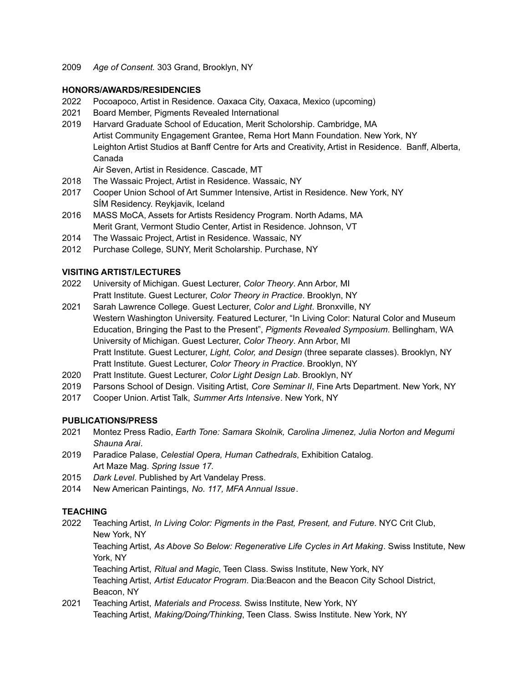2009 *Age of Consent.* 303 Grand, Brooklyn, NY

#### **HONORS/AWARDS/RESIDENCIES**

- 2022 Pocoapoco, Artist in Residence. Oaxaca City, Oaxaca, Mexico (upcoming)
- 2021 Board Member, Pigments Revealed International
- 2019 Harvard Graduate School of Education, Merit Scholorship. Cambridge, MA Artist Community Engagement Grantee, Rema Hort Mann Foundation. New York, NY Leighton Artist Studios at Banff Centre for Arts and Creativity, Artist in Residence. Banff, Alberta, Canada

Air Seven, Artist in Residence. Cascade, MT

- 2018 The Wassaic Project, Artist in Residence. Wassaic, NY
- 2017 Cooper Union School of Art Summer Intensive, Artist in Residence. New York, NY SÍM Residency. Reykjavik, Iceland
- 2016 MASS MoCA, Assets for Artists Residency Program. North Adams, MA Merit Grant, Vermont Studio Center, Artist in Residence. Johnson, VT
- 2014 The Wassaic Project, Artist in Residence. Wassaic, NY
- 2012 Purchase College, SUNY, Merit Scholarship. Purchase, NY

#### **VISITING ARTIST/LECTURES**

- 2022 University of Michigan. Guest Lecturer, *Color Theory*. Ann Arbor, MI Pratt Institute. Guest Lecturer, *Color Theory in Practice*. Brooklyn, NY
- 2021 Sarah Lawrence College. Guest Lecturer, *Color and Light*. Bronxville, NY Western Washington University. Featured Lecturer, "In Living Color: Natural Color and Museum Education, Bringing the Past to the Present", *Pigments Revealed Symposium*. Bellingham, WA University of Michigan. Guest Lecturer, *Color Theory*. Ann Arbor, MI Pratt Institute. Guest Lecturer, *Light, Color, and Design* (three separate classes). Brooklyn, NY Pratt Institute. Guest Lecturer, *Color Theory in Practice*. Brooklyn, NY
- 2020 Pratt Institute. Guest Lecturer, *Color Light Design Lab*. Brooklyn, NY
- 2019 Parsons School of Design. Visiting Artist, *Core Seminar II*, Fine Arts Department. New York, NY
- 2017 Cooper Union. Artist Talk, *Summer Arts Intensive*. New York, NY

## **PUBLICATIONS/PRESS**

- 2021 Montez Press Radio, *Earth Tone: Samara Skolnik, Carolina Jimenez, Julia Norton and Megumi Shauna Arai*.
- 2019 Paradice Palase, *Celestial Opera, Human Cathedrals*, Exhibition Catalog. Art Maze Mag. *Spring Issue 17.*
- 2015 *Dark Level*. Published by Art Vandelay Press.
- 2014 New American Paintings, *No. 117, MFA Annual Issue*.

## **TEACHING**

2022 Teaching Artist, *In Living Color: Pigments in the Past, Present, and Future*. NYC Crit Club, New York, NY Teaching Artist, *As Above So Below: Regenerative Life Cycles in Art Making*. Swiss Institute, New York, NY Teaching Artist, *Ritual and Magic*, Teen Class. Swiss Institute, New York, NY Teaching Artist, *Artist Educator Program*. Dia:Beacon and the Beacon City School District, Beacon, NY

2021 Teaching Artist, *Materials and Process.* Swiss Institute, New York, NY Teaching Artist, *Making/Doing/Thinking*, Teen Class. Swiss Institute. New York, NY